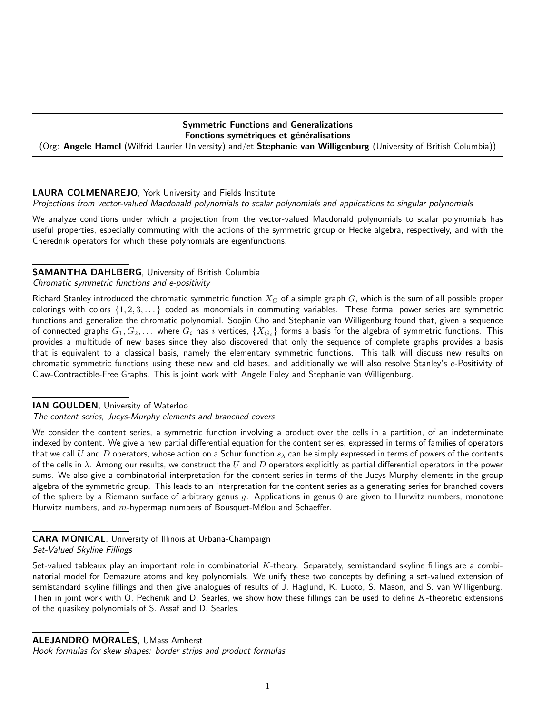## Symmetric Functions and Generalizations Fonctions symétriques et généralisations

(Org: Angele Hamel (Wilfrid Laurier University) and/et Stephanie van Willigenburg (University of British Columbia))

# LAURA COLMENAREJO, York University and Fields Institute

Projections from vector-valued Macdonald polynomials to scalar polynomials and applications to singular polynomials

We analyze conditions under which a projection from the vector-valued Macdonald polynomials to scalar polynomials has useful properties, especially commuting with the actions of the symmetric group or Hecke algebra, respectively, and with the Cherednik operators for which these polynomials are eigenfunctions.

# SAMANTHA DAHLBERG, University of British Columbia

Chromatic symmetric functions and e-positivity

Richard Stanley introduced the chromatic symmetric function  $X_G$  of a simple graph  $G$ , which is the sum of all possible proper colorings with colors  $\{1, 2, 3, \dots\}$  coded as monomials in commuting variables. These formal power series are symmetric functions and generalize the chromatic polynomial. Soojin Cho and Stephanie van Willigenburg found that, given a sequence of connected graphs  $G_1, G_2, \ldots$  where  $G_i$  has i vertices,  $\{X_{G_i}\}$  forms a basis for the algebra of symmetric functions. This provides a multitude of new bases since they also discovered that only the sequence of complete graphs provides a basis that is equivalent to a classical basis, namely the elementary symmetric functions. This talk will discuss new results on chromatic symmetric functions using these new and old bases, and additionally we will also resolve Stanley's e-Positivity of Claw-Contractible-Free Graphs. This is joint work with Angele Foley and Stephanie van Willigenburg.

IAN GOULDEN, University of Waterloo

The content series, Jucys-Murphy elements and branched covers

We consider the content series, a symmetric function involving a product over the cells in a partition, of an indeterminate indexed by content. We give a new partial differential equation for the content series, expressed in terms of families of operators that we call U and D operators, whose action on a Schur function  $s_\lambda$  can be simply expressed in terms of powers of the contents of the cells in  $\lambda$ . Among our results, we construct the U and D operators explicitly as partial differential operators in the power sums. We also give a combinatorial interpretation for the content series in terms of the Jucys-Murphy elements in the group algebra of the symmetric group. This leads to an interpretation for the content series as a generating series for branched covers of the sphere by a Riemann surface of arbitrary genus q. Applications in genus  $0$  are given to Hurwitz numbers, monotone Hurwitz numbers, and  $m$ -hypermap numbers of Bousquet-Mélou and Schaeffer.

ALEJANDRO MORALES, UMass Amherst

Hook formulas for skew shapes: border strips and product formulas

CARA MONICAL, University of Illinois at Urbana-Champaign Set-Valued Skyline Fillings

Set-valued tableaux play an important role in combinatorial  $K$ -theory. Separately, semistandard skyline fillings are a combinatorial model for Demazure atoms and key polynomials. We unify these two concepts by defining a set-valued extension of semistandard skyline fillings and then give analogues of results of J. Haglund, K. Luoto, S. Mason, and S. van Willigenburg. Then in joint work with O. Pechenik and D. Searles, we show how these fillings can be used to define  $K$ -theoretic extensions of the quasikey polynomials of S. Assaf and D. Searles.